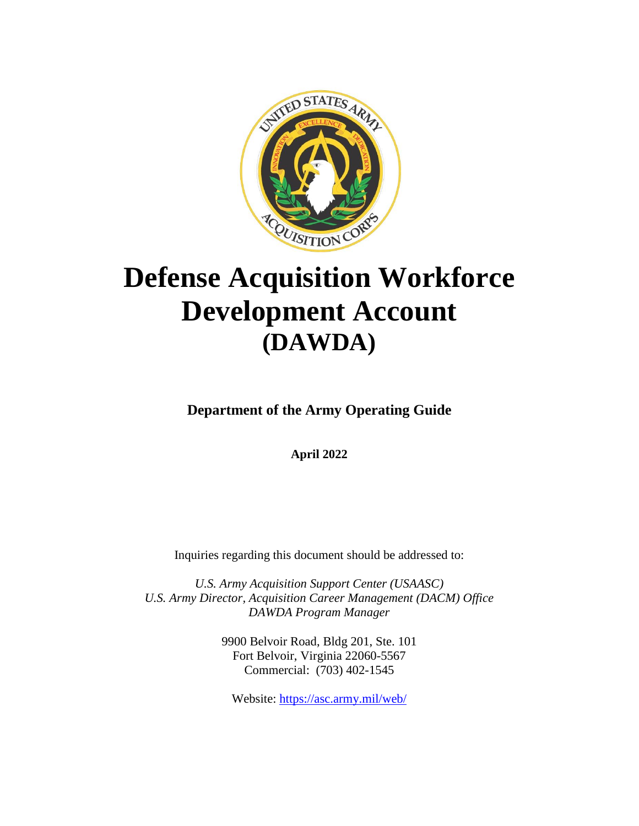

# **Defense Acquisition Workforce Development Account (DAWDA)**

**Department of the Army Operating Guide**

**April 2022**

Inquiries regarding this document should be addressed to:

*U.S. Army Acquisition Support Center (USAASC) U.S. Army Director, Acquisition Career Management (DACM) Office DAWDA Program Manager*

> 9900 Belvoir Road, Bldg 201, Ste. 101 Fort Belvoir, Virginia 22060-5567 Commercial: (703) 402-1545

Website: <https://asc.army.mil/web/>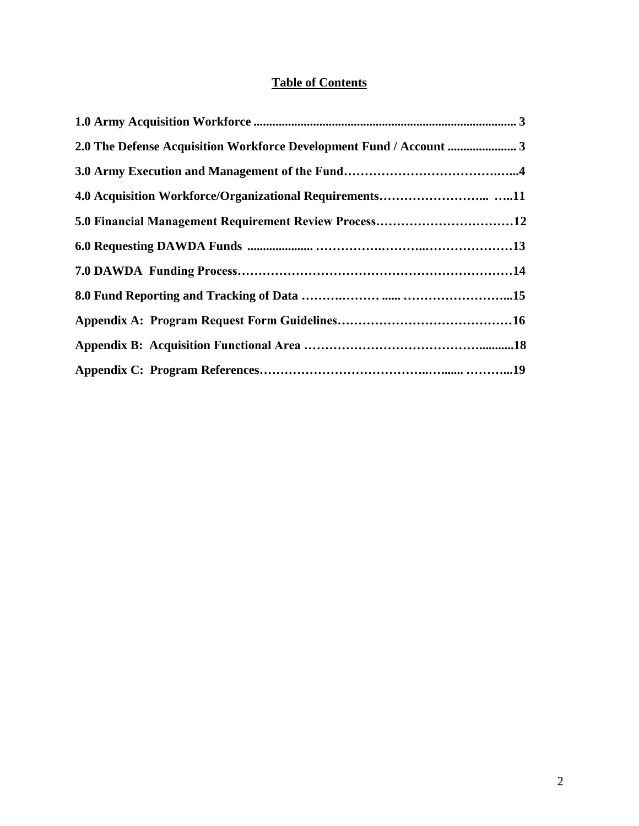# **Table of Contents**

<span id="page-1-0"></span>

| 5.0 Financial Management Requirement Review Process12 |  |
|-------------------------------------------------------|--|
|                                                       |  |
|                                                       |  |
|                                                       |  |
|                                                       |  |
|                                                       |  |
|                                                       |  |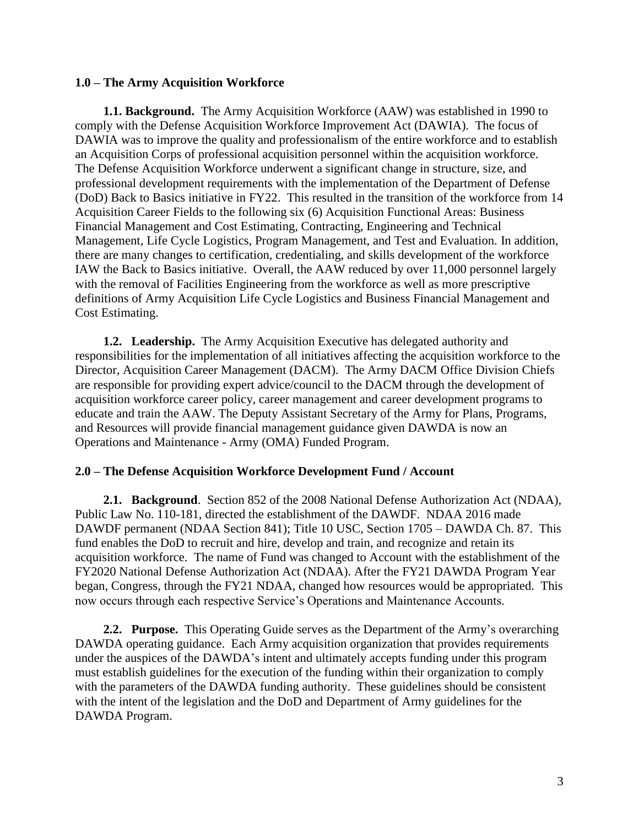#### <span id="page-2-0"></span>**1.0 – The Army Acquisition Workforce**

**1.1. Background.** The Army Acquisition Workforce (AAW) was established in 1990 to comply with the Defense Acquisition Workforce Improvement Act (DAWIA). The focus of DAWIA was to improve the quality and professionalism of the entire workforce and to establish an Acquisition Corps of professional acquisition personnel within the acquisition workforce. The Defense Acquisition Workforce underwent a significant change in structure, size, and professional development requirements with the implementation of the Department of Defense (DoD) Back to Basics initiative in FY22. This resulted in the transition of the workforce from 14 Acquisition Career Fields to the following six (6) Acquisition Functional Areas: Business Financial Management and Cost Estimating, Contracting, Engineering and Technical Management, Life Cycle Logistics, Program Management, and Test and Evaluation. In addition, there are many changes to certification, credentialing, and skills development of the workforce IAW the Back to Basics initiative. Overall, the AAW reduced by over 11,000 personnel largely with the removal of Facilities Engineering from the workforce as well as more prescriptive definitions of Army Acquisition Life Cycle Logistics and Business Financial Management and Cost Estimating.

**1.2. Leadership.** The Army Acquisition Executive has delegated authority and responsibilities for the implementation of all initiatives affecting the acquisition workforce to the Director, Acquisition Career Management (DACM). The Army DACM Office Division Chiefs are responsible for providing expert advice/council to the DACM through the development of acquisition workforce career policy, career management and career development programs to educate and train the AAW. The Deputy Assistant Secretary of the Army for Plans, Programs, and Resources will provide financial management guidance given DAWDA is now an Operations and Maintenance - Army (OMA) Funded Program.

#### **2.0 – The Defense Acquisition Workforce Development Fund / Account**

**2.1. Background**. Section 852 of the 2008 National Defense Authorization Act (NDAA), Public Law No. 110-181, directed the establishment of the DAWDF. NDAA 2016 made DAWDF permanent (NDAA Section 841); Title 10 USC, Section 1705 – DAWDA Ch. 87. This fund enables the DoD to recruit and hire, develop and train, and recognize and retain its acquisition workforce. The name of Fund was changed to Account with the establishment of the FY2020 National Defense Authorization Act (NDAA). After the FY21 DAWDA Program Year began, Congress, through the FY21 NDAA, changed how resources would be appropriated. This now occurs through each respective Service's Operations and Maintenance Accounts.

**2.2. Purpose.** This Operating Guide serves as the Department of the Army's overarching DAWDA operating guidance. Each Army acquisition organization that provides requirements under the auspices of the DAWDA's intent and ultimately accepts funding under this program must establish guidelines for the execution of the funding within their organization to comply with the parameters of the DAWDA funding authority. These guidelines should be consistent with the intent of the legislation and the DoD and Department of Army guidelines for the DAWDA Program.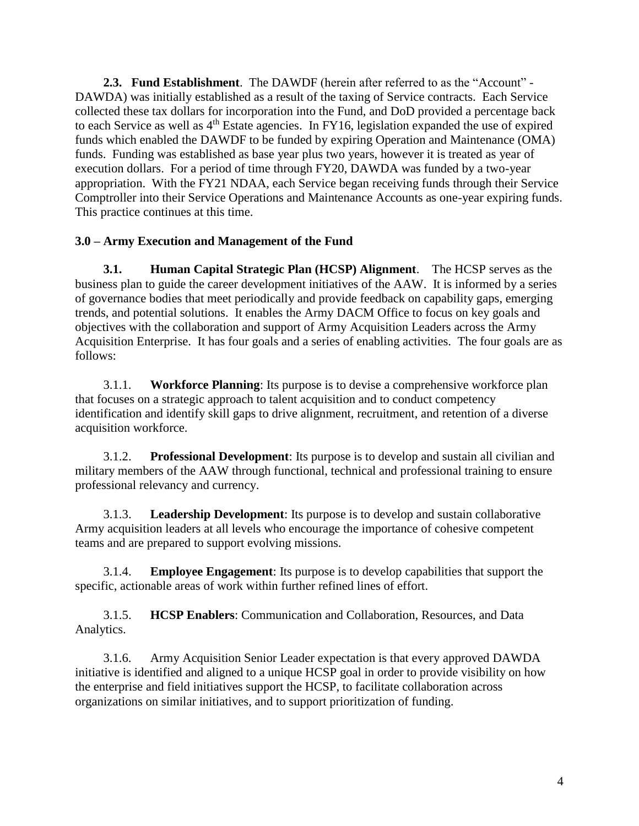**2.3. Fund Establishment**. The DAWDF (herein after referred to as the "Account" - DAWDA) was initially established as a result of the taxing of Service contracts. Each Service collected these tax dollars for incorporation into the Fund, and DoD provided a percentage back to each Service as well as  $4<sup>th</sup>$  Estate agencies. In FY16, legislation expanded the use of expired funds which enabled the DAWDF to be funded by expiring Operation and Maintenance (OMA) funds. Funding was established as base year plus two years, however it is treated as year of execution dollars. For a period of time through FY20, DAWDA was funded by a two-year appropriation. With the FY21 NDAA, each Service began receiving funds through their Service Comptroller into their Service Operations and Maintenance Accounts as one-year expiring funds. This practice continues at this time.

## **3.0 – Army Execution and Management of the Fund**

**3.1. Human Capital Strategic Plan (HCSP) Alignment**. The HCSP serves as the business plan to guide the career development initiatives of the AAW. It is informed by a series of governance bodies that meet periodically and provide feedback on capability gaps, emerging trends, and potential solutions. It enables the Army DACM Office to focus on key goals and objectives with the collaboration and support of Army Acquisition Leaders across the Army Acquisition Enterprise. It has four goals and a series of enabling activities. The four goals are as follows:

3.1.1. **Workforce Planning**: Its purpose is to devise a comprehensive workforce plan that focuses on a strategic approach to talent acquisition and to conduct competency identification and identify skill gaps to drive alignment, recruitment, and retention of a diverse acquisition workforce.

3.1.2. **Professional Development**: Its purpose is to develop and sustain all civilian and military members of the AAW through functional, technical and professional training to ensure professional relevancy and currency.

3.1.3. **Leadership Development**: Its purpose is to develop and sustain collaborative Army acquisition leaders at all levels who encourage the importance of cohesive competent teams and are prepared to support evolving missions.

3.1.4. **Employee Engagement**: Its purpose is to develop capabilities that support the specific, actionable areas of work within further refined lines of effort.

3.1.5. **HCSP Enablers**: Communication and Collaboration, Resources, and Data Analytics.

3.1.6. Army Acquisition Senior Leader expectation is that every approved DAWDA initiative is identified and aligned to a unique HCSP goal in order to provide visibility on how the enterprise and field initiatives support the HCSP, to facilitate collaboration across organizations on similar initiatives, and to support prioritization of funding.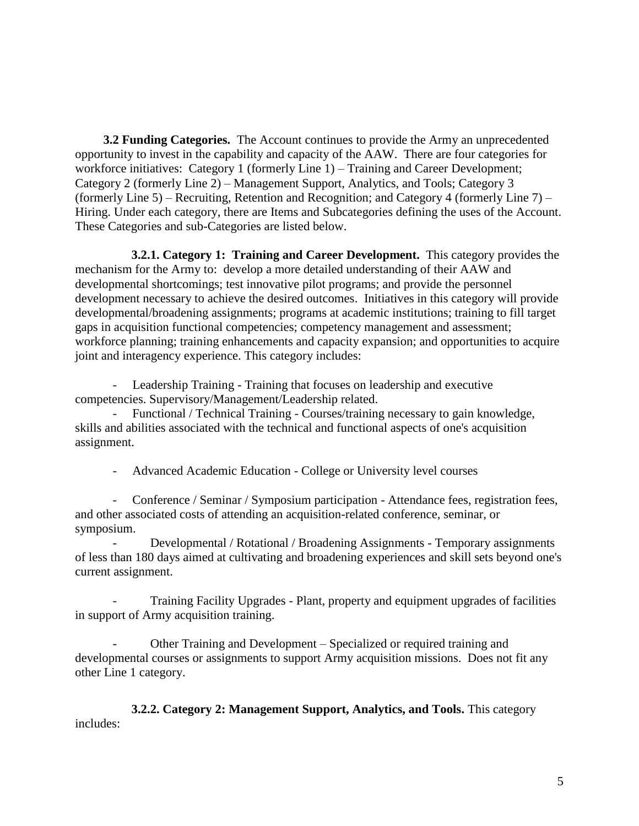**3.2 Funding Categories.** The Account continues to provide the Army an unprecedented opportunity to invest in the capability and capacity of the AAW. There are four categories for workforce initiatives: Category 1 (formerly Line 1) – Training and Career Development; Category 2 (formerly Line 2) – Management Support, Analytics, and Tools; Category 3 (formerly Line 5) – Recruiting, Retention and Recognition; and Category 4 (formerly Line 7) – Hiring. Under each category, there are Items and Subcategories defining the uses of the Account. These Categories and sub-Categories are listed below.

**3.2.1. Category 1: Training and Career Development.** This category provides the mechanism for the Army to: develop a more detailed understanding of their AAW and developmental shortcomings; test innovative pilot programs; and provide the personnel development necessary to achieve the desired outcomes. Initiatives in this category will provide developmental/broadening assignments; programs at academic institutions; training to fill target gaps in acquisition functional competencies; competency management and assessment; workforce planning; training enhancements and capacity expansion; and opportunities to acquire joint and interagency experience. This category includes:

- Leadership Training - Training that focuses on leadership and executive competencies. Supervisory/Management/Leadership related.

- Functional / Technical Training - Courses/training necessary to gain knowledge, skills and abilities associated with the technical and functional aspects of one's acquisition assignment.

- Advanced Academic Education - College or University level courses

- Conference / Seminar / Symposium participation - Attendance fees, registration fees, and other associated costs of attending an acquisition-related conference, seminar, or symposium.

- Developmental / Rotational / Broadening Assignments - Temporary assignments of less than 180 days aimed at cultivating and broadening experiences and skill sets beyond one's current assignment.

Training Facility Upgrades - Plant, property and equipment upgrades of facilities in support of Army acquisition training.

- Other Training and Development – Specialized or required training and developmental courses or assignments to support Army acquisition missions. Does not fit any other Line 1 category.

 **3.2.2. Category 2: Management Support, Analytics, and Tools.** This category includes: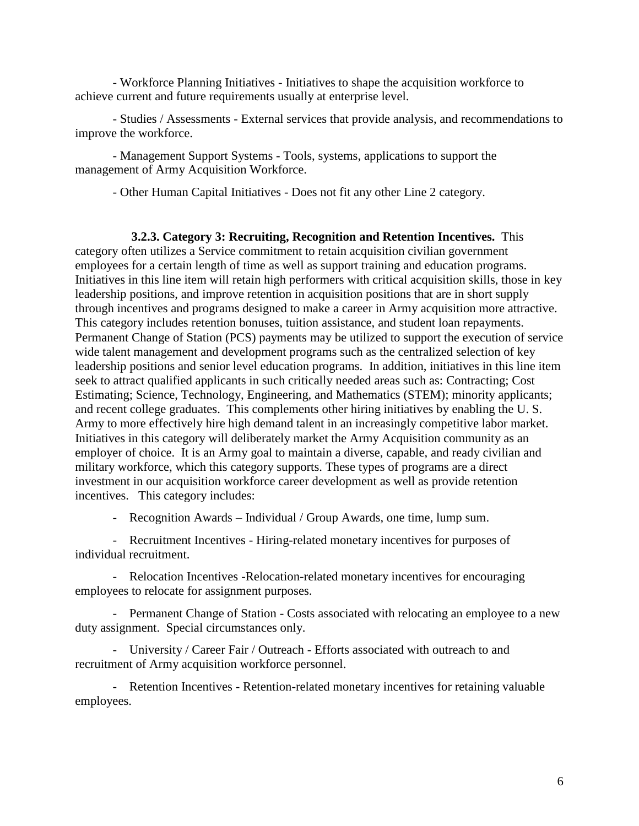- Workforce Planning Initiatives - Initiatives to shape the acquisition workforce to achieve current and future requirements usually at enterprise level.

- Studies / Assessments - External services that provide analysis, and recommendations to improve the workforce.

- Management Support Systems - Tools, systems, applications to support the management of Army Acquisition Workforce.

- Other Human Capital Initiatives - Does not fit any other Line 2 category.

**3.2.3. Category 3: Recruiting, Recognition and Retention Incentives.** This category often utilizes a Service commitment to retain acquisition civilian government employees for a certain length of time as well as support training and education programs. Initiatives in this line item will retain high performers with critical acquisition skills, those in key leadership positions, and improve retention in acquisition positions that are in short supply through incentives and programs designed to make a career in Army acquisition more attractive. This category includes retention bonuses, tuition assistance, and student loan repayments. Permanent Change of Station (PCS) payments may be utilized to support the execution of service wide talent management and development programs such as the centralized selection of key leadership positions and senior level education programs.In addition, initiatives in this line item seek to attract qualified applicants in such critically needed areas such as: Contracting; Cost Estimating; Science, Technology, Engineering, and Mathematics (STEM); minority applicants; and recent college graduates. This complements other hiring initiatives by enabling the U. S. Army to more effectively hire high demand talent in an increasingly competitive labor market. Initiatives in this category will deliberately market the Army Acquisition community as an employer of choice. It is an Army goal to maintain a diverse, capable, and ready civilian and military workforce, which this category supports. These types of programs are a direct investment in our acquisition workforce career development as well as provide retention incentives. This category includes:

- Recognition Awards – Individual / Group Awards, one time, lump sum.

- Recruitment Incentives - Hiring-related monetary incentives for purposes of individual recruitment.

- Relocation Incentives -Relocation-related monetary incentives for encouraging employees to relocate for assignment purposes.

- Permanent Change of Station - Costs associated with relocating an employee to a new duty assignment. Special circumstances only.

- University / Career Fair / Outreach - Efforts associated with outreach to and recruitment of Army acquisition workforce personnel.

- Retention Incentives - Retention-related monetary incentives for retaining valuable employees.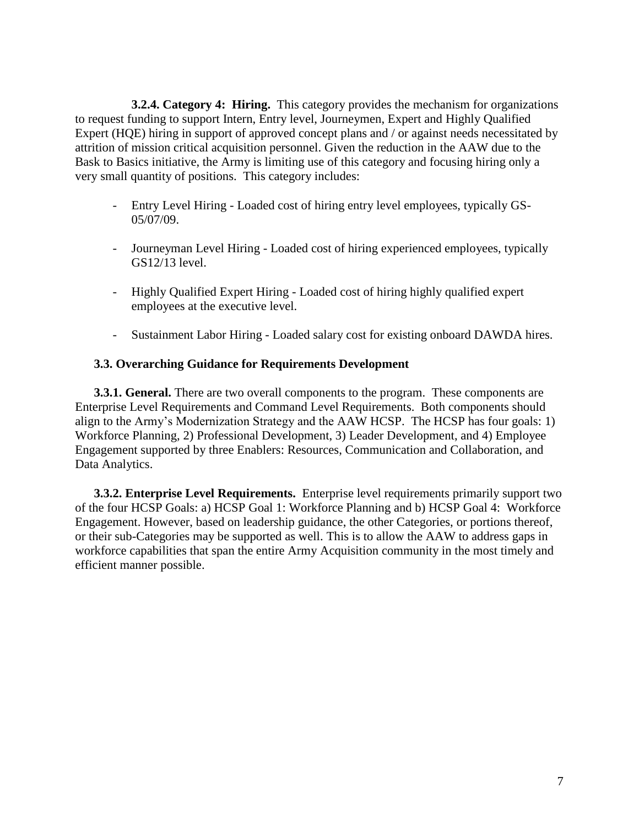**3.2.4. Category 4: Hiring.** This category provides the mechanism for organizations to request funding to support Intern, Entry level, Journeymen, Expert and Highly Qualified Expert (HQE) hiring in support of approved concept plans and / or against needs necessitated by attrition of mission critical acquisition personnel. Given the reduction in the AAW due to the Bask to Basics initiative, the Army is limiting use of this category and focusing hiring only a very small quantity of positions. This category includes:

- Entry Level Hiring Loaded cost of hiring entry level employees, typically GS-05/07/09.
- Journeyman Level Hiring Loaded cost of hiring experienced employees, typically GS12/13 level.
- Highly Qualified Expert Hiring Loaded cost of hiring highly qualified expert employees at the executive level.
- Sustainment Labor Hiring Loaded salary cost for existing onboard DAWDA hires.

## **3.3. Overarching Guidance for Requirements Development**

**3.3.1. General.** There are two overall components to the program. These components are Enterprise Level Requirements and Command Level Requirements. Both components should align to the Army's Modernization Strategy and the AAW HCSP. The HCSP has four goals: 1) Workforce Planning, 2) Professional Development, 3) Leader Development, and 4) Employee Engagement supported by three Enablers: Resources, Communication and Collaboration, and Data Analytics.

**3.3.2. Enterprise Level Requirements.** Enterprise level requirements primarily support two of the four HCSP Goals: a) HCSP Goal 1: Workforce Planning and b) HCSP Goal 4: Workforce Engagement. However, based on leadership guidance, the other Categories, or portions thereof, or their sub-Categories may be supported as well. This is to allow the AAW to address gaps in workforce capabilities that span the entire Army Acquisition community in the most timely and efficient manner possible.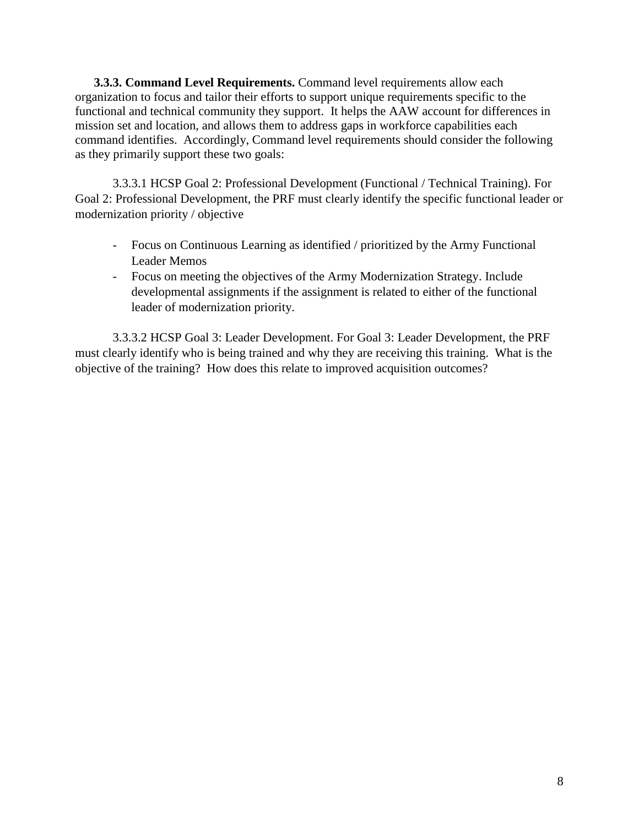**3.3.3. Command Level Requirements.** Command level requirements allow each organization to focus and tailor their efforts to support unique requirements specific to the functional and technical community they support. It helps the AAW account for differences in mission set and location, and allows them to address gaps in workforce capabilities each command identifies. Accordingly, Command level requirements should consider the following as they primarily support these two goals:

3.3.3.1 HCSP Goal 2: Professional Development (Functional / Technical Training). For Goal 2: Professional Development, the PRF must clearly identify the specific functional leader or modernization priority / objective

- Focus on Continuous Learning as identified / prioritized by the Army Functional Leader Memos
- Focus on meeting the objectives of the Army Modernization Strategy. Include developmental assignments if the assignment is related to either of the functional leader of modernization priority.

3.3.3.2 HCSP Goal 3: Leader Development. For Goal 3: Leader Development, the PRF must clearly identify who is being trained and why they are receiving this training. What is the objective of the training? How does this relate to improved acquisition outcomes?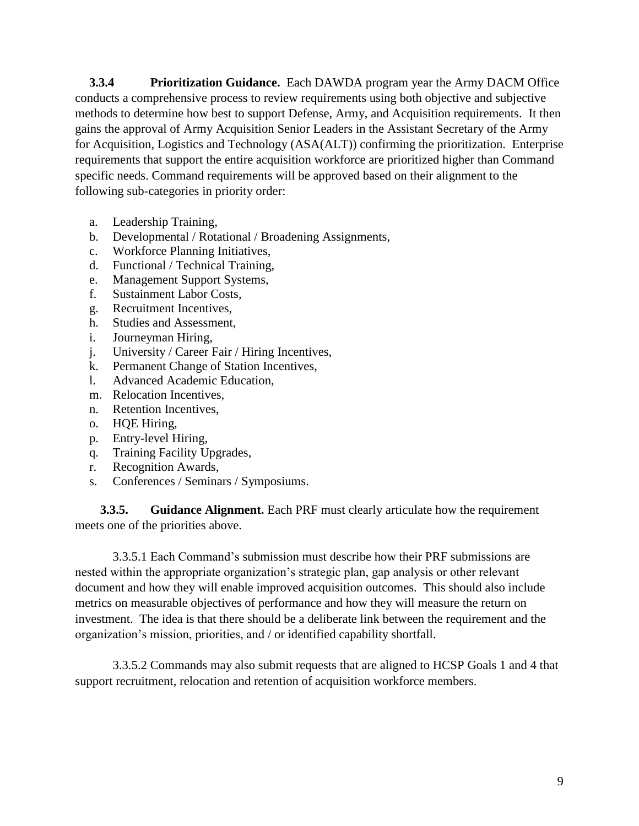**3.3.4 Prioritization Guidance.** Each DAWDA program year the Army DACM Office conducts a comprehensive process to review requirements using both objective and subjective methods to determine how best to support Defense, Army, and Acquisition requirements. It then gains the approval of Army Acquisition Senior Leaders in the Assistant Secretary of the Army for Acquisition, Logistics and Technology (ASA(ALT)) confirming the prioritization. Enterprise requirements that support the entire acquisition workforce are prioritized higher than Command specific needs. Command requirements will be approved based on their alignment to the following sub-categories in priority order:

- a. Leadership Training,
- b. Developmental / Rotational / Broadening Assignments,
- c. Workforce Planning Initiatives,
- d. Functional / Technical Training,
- e. Management Support Systems,
- f. Sustainment Labor Costs,
- g. Recruitment Incentives,
- h. Studies and Assessment,
- i. Journeyman Hiring,
- j. University / Career Fair / Hiring Incentives,
- k. Permanent Change of Station Incentives,
- l. Advanced Academic Education,
- m. Relocation Incentives,
- n. Retention Incentives,
- o. HQE Hiring,
- p. Entry-level Hiring,
- q. Training Facility Upgrades,
- r. Recognition Awards,
- s. Conferences / Seminars / Symposiums.

**3.3.5. Guidance Alignment.** Each PRF must clearly articulate how the requirement meets one of the priorities above.

3.3.5.1 Each Command's submission must describe how their PRF submissions are nested within the appropriate organization's strategic plan, gap analysis or other relevant document and how they will enable improved acquisition outcomes. This should also include metrics on measurable objectives of performance and how they will measure the return on investment. The idea is that there should be a deliberate link between the requirement and the organization's mission, priorities, and / or identified capability shortfall.

3.3.5.2 Commands may also submit requests that are aligned to HCSP Goals 1 and 4 that support recruitment, relocation and retention of acquisition workforce members.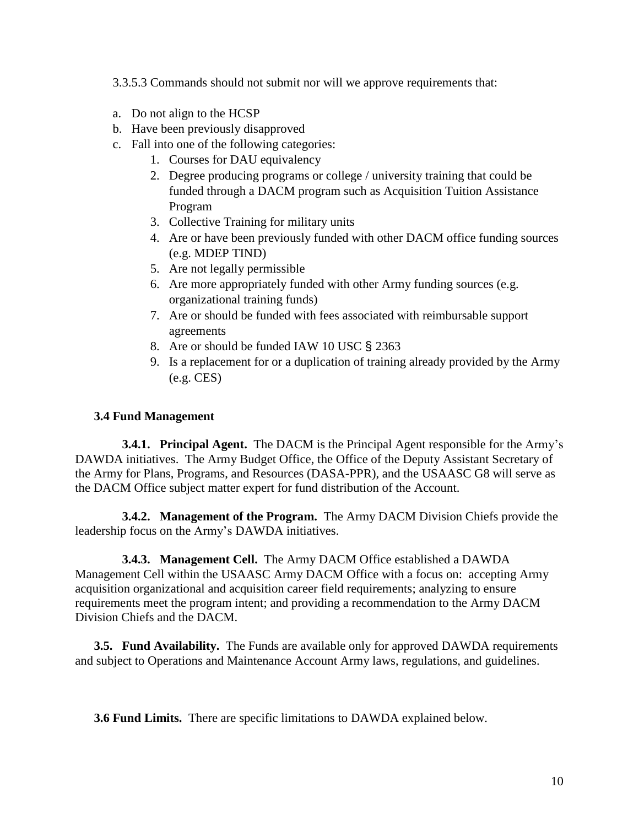3.3.5.3 Commands should not submit nor will we approve requirements that:

- a. Do not align to the HCSP
- b. Have been previously disapproved
- c. Fall into one of the following categories:
	- 1. Courses for DAU equivalency
	- 2. Degree producing programs or college / university training that could be funded through a DACM program such as Acquisition Tuition Assistance Program
	- 3. Collective Training for military units
	- 4. Are or have been previously funded with other DACM office funding sources (e.g. MDEP TIND)
	- 5. Are not legally permissible
	- 6. Are more appropriately funded with other Army funding sources (e.g. organizational training funds)
	- 7. Are or should be funded with fees associated with reimbursable support agreements
	- 8. Are or should be funded IAW 10 USC § 2363
	- 9. Is a replacement for or a duplication of training already provided by the Army (e.g. CES)

## **3.4 Fund Management**

**3.4.1. Principal Agent.** The DACM is the Principal Agent responsible for the Army's DAWDA initiatives. The Army Budget Office, the Office of the Deputy Assistant Secretary of the Army for Plans, Programs, and Resources (DASA-PPR), and the USAASC G8 will serve as the DACM Office subject matter expert for fund distribution of the Account.

**3.4.2. Management of the Program.** The Army DACM Division Chiefs provide the leadership focus on the Army's DAWDA initiatives.

**3.4.3. Management Cell.** The Army DACM Office established a DAWDA Management Cell within the USAASC Army DACM Office with a focus on: accepting Army acquisition organizational and acquisition career field requirements; analyzing to ensure requirements meet the program intent; and providing a recommendation to the Army DACM Division Chiefs and the DACM.

**3.5. Fund Availability.** The Funds are available only for approved DAWDA requirements and subject to Operations and Maintenance Account Army laws, regulations, and guidelines.

**3.6 Fund Limits.** There are specific limitations to DAWDA explained below.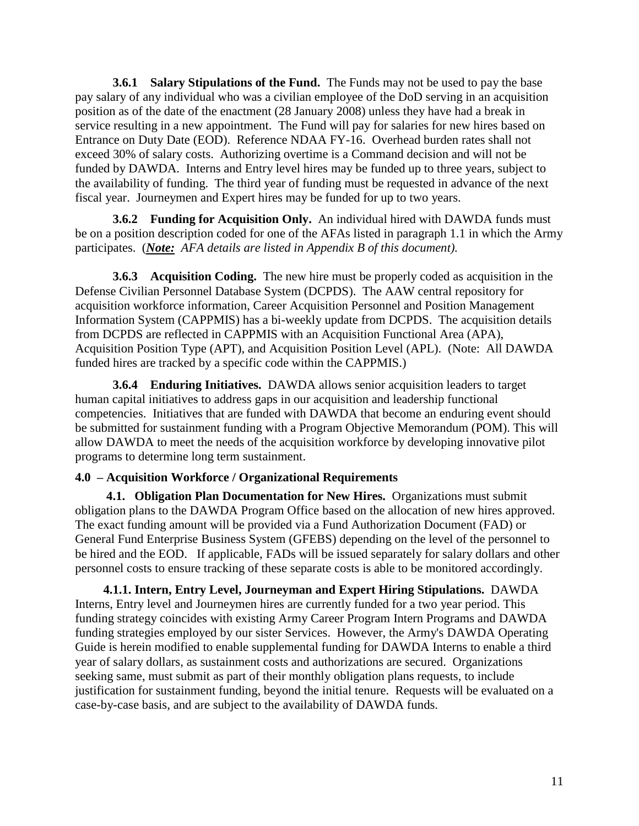**3.6.1 Salary Stipulations of the Fund.** The Funds may not be used to pay the base pay salary of any individual who was a civilian employee of the DoD serving in an acquisition position as of the date of the enactment (28 January 2008) unless they have had a break in service resulting in a new appointment. The Fund will pay for salaries for new hires based on Entrance on Duty Date (EOD). Reference NDAA FY-16. Overhead burden rates shall not exceed 30% of salary costs. Authorizing overtime is a Command decision and will not be funded by DAWDA. Interns and Entry level hires may be funded up to three years, subject to the availability of funding. The third year of funding must be requested in advance of the next fiscal year. Journeymen and Expert hires may be funded for up to two years.

**3.6.2 Funding for Acquisition Only.** An individual hired with DAWDA funds must be on a position description coded for one of the AFAs listed in paragraph 1.1 in which the Army participates. (*Note: AFA details are listed in Appendix B of this document).*

**3.6.3 Acquisition Coding.** The new hire must be properly coded as acquisition in the Defense Civilian Personnel Database System (DCPDS). The AAW central repository for acquisition workforce information, Career Acquisition Personnel and Position Management Information System (CAPPMIS) has a bi-weekly update from DCPDS. The acquisition details from DCPDS are reflected in CAPPMIS with an Acquisition Functional Area (APA), Acquisition Position Type (APT), and Acquisition Position Level (APL). (Note: All DAWDA funded hires are tracked by a specific code within the CAPPMIS.)

**3.6.4 Enduring Initiatives.** DAWDA allows senior acquisition leaders to target human capital initiatives to address gaps in our acquisition and leadership functional competencies. Initiatives that are funded with DAWDA that become an enduring event should be submitted for sustainment funding with a Program Objective Memorandum (POM). This will allow DAWDA to meet the needs of the acquisition workforce by developing innovative pilot programs to determine long term sustainment.

## **4.0 – Acquisition Workforce / Organizational Requirements**

 **4.1. Obligation Plan Documentation for New Hires.** Organizations must submit obligation plans to the DAWDA Program Office based on the allocation of new hires approved. The exact funding amount will be provided via a Fund Authorization Document (FAD) or General Fund Enterprise Business System (GFEBS) depending on the level of the personnel to be hired and the EOD. If applicable, FADs will be issued separately for salary dollars and other personnel costs to ensure tracking of these separate costs is able to be monitored accordingly.

**4.1.1. Intern, Entry Level, Journeyman and Expert Hiring Stipulations.** DAWDA Interns, Entry level and Journeymen hires are currently funded for a two year period. This funding strategy coincides with existing Army Career Program Intern Programs and DAWDA funding strategies employed by our sister Services. However, the Army's DAWDA Operating Guide is herein modified to enable supplemental funding for DAWDA Interns to enable a third year of salary dollars, as sustainment costs and authorizations are secured. Organizations seeking same, must submit as part of their monthly obligation plans requests, to include justification for sustainment funding, beyond the initial tenure. Requests will be evaluated on a case-by-case basis, and are subject to the availability of DAWDA funds.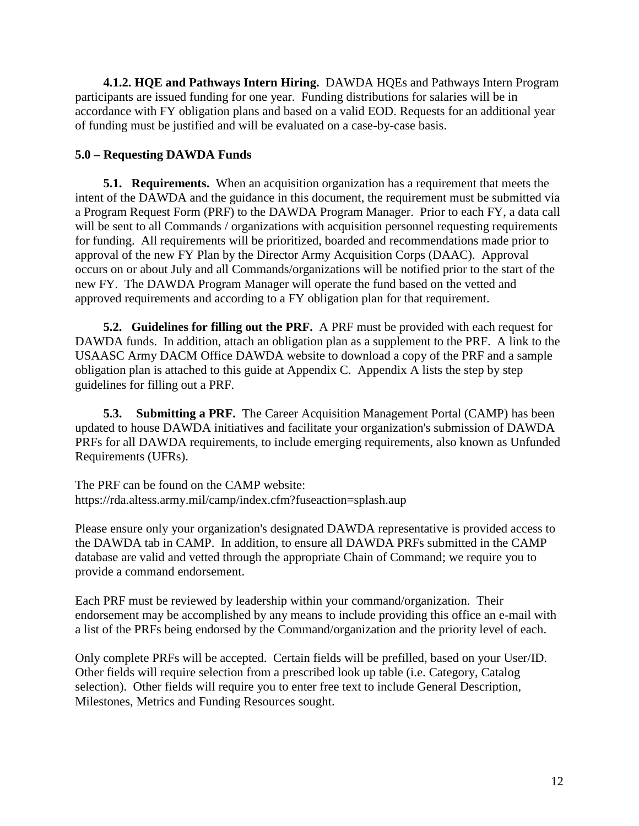**4.1.2. HQE and Pathways Intern Hiring.** DAWDA HQEs and Pathways Intern Program participants are issued funding for one year. Funding distributions for salaries will be in accordance with FY obligation plans and based on a valid EOD. Requests for an additional year of funding must be justified and will be evaluated on a case-by-case basis.

## **5.0 – Requesting DAWDA Funds**

**5.1. Requirements.** When an acquisition organization has a requirement that meets the intent of the DAWDA and the guidance in this document, the requirement must be submitted via a Program Request Form (PRF) to the DAWDA Program Manager. Prior to each FY, a data call will be sent to all Commands / organizations with acquisition personnel requesting requirements for funding. All requirements will be prioritized, boarded and recommendations made prior to approval of the new FY Plan by the Director Army Acquisition Corps (DAAC). Approval occurs on or about July and all Commands/organizations will be notified prior to the start of the new FY. The DAWDA Program Manager will operate the fund based on the vetted and approved requirements and according to a FY obligation plan for that requirement.

**5.2. Guidelines for filling out the PRF.** A PRF must be provided with each request for DAWDA funds. In addition, attach an obligation plan as a supplement to the PRF. A link to the USAASC Army DACM Office DAWDA website to download a copy of the PRF and a sample obligation plan is attached to this guide at Appendix C. Appendix A lists the step by step guidelines for filling out a PRF.

**5.3. Submitting a PRF.** The Career Acquisition Management Portal (CAMP) has been updated to house DAWDA initiatives and facilitate your organization's submission of DAWDA PRFs for all DAWDA requirements, to include emerging requirements, also known as Unfunded Requirements (UFRs).

The PRF can be found on the CAMP website: https://rda.altess.army.mil/camp/index.cfm?fuseaction=splash.aup

Please ensure only your organization's designated DAWDA representative is provided access to the DAWDA tab in CAMP. In addition, to ensure all DAWDA PRFs submitted in the CAMP database are valid and vetted through the appropriate Chain of Command; we require you to provide a command endorsement.

Each PRF must be reviewed by leadership within your command/organization. Their endorsement may be accomplished by any means to include providing this office an e-mail with a list of the PRFs being endorsed by the Command/organization and the priority level of each.

Only complete PRFs will be accepted. Certain fields will be prefilled, based on your User/ID. Other fields will require selection from a prescribed look up table (i.e. Category, Catalog selection). Other fields will require you to enter free text to include General Description, Milestones, Metrics and Funding Resources sought.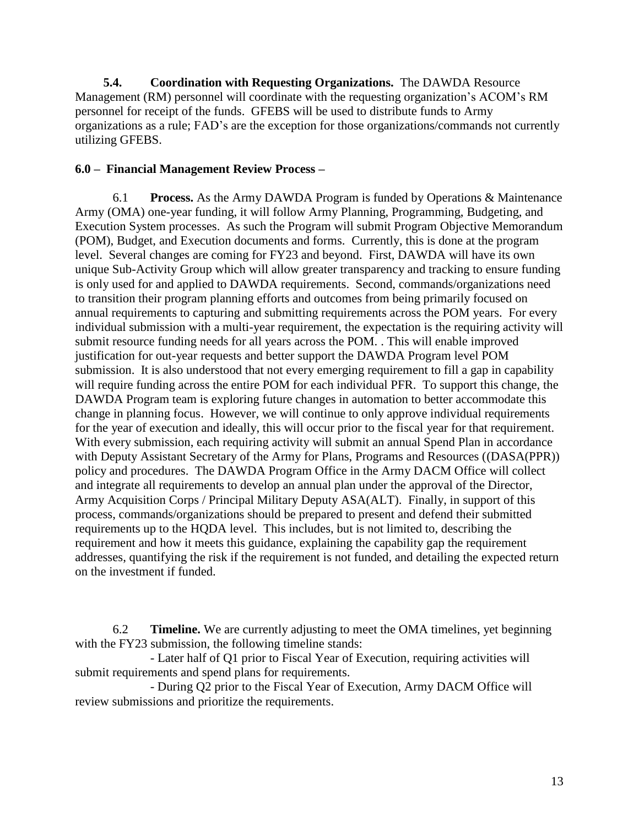**5.4. Coordination with Requesting Organizations.** The DAWDA Resource Management (RM) personnel will coordinate with the requesting organization's ACOM's RM personnel for receipt of the funds. GFEBS will be used to distribute funds to Army organizations as a rule; FAD's are the exception for those organizations/commands not currently utilizing GFEBS.

#### **6.0 – Financial Management Review Process –**

6.1 **Process.** As the Army DAWDA Program is funded by Operations & Maintenance Army (OMA) one-year funding, it will follow Army Planning, Programming, Budgeting, and Execution System processes. As such the Program will submit Program Objective Memorandum (POM), Budget, and Execution documents and forms. Currently, this is done at the program level. Several changes are coming for FY23 and beyond. First, DAWDA will have its own unique Sub-Activity Group which will allow greater transparency and tracking to ensure funding is only used for and applied to DAWDA requirements. Second, commands/organizations need to transition their program planning efforts and outcomes from being primarily focused on annual requirements to capturing and submitting requirements across the POM years. For every individual submission with a multi-year requirement, the expectation is the requiring activity will submit resource funding needs for all years across the POM. . This will enable improved justification for out-year requests and better support the DAWDA Program level POM submission. It is also understood that not every emerging requirement to fill a gap in capability will require funding across the entire POM for each individual PFR. To support this change, the DAWDA Program team is exploring future changes in automation to better accommodate this change in planning focus. However, we will continue to only approve individual requirements for the year of execution and ideally, this will occur prior to the fiscal year for that requirement. With every submission, each requiring activity will submit an annual Spend Plan in accordance with Deputy Assistant Secretary of the Army for Plans, Programs and Resources ((DASA(PPR)) policy and procedures. The DAWDA Program Office in the Army DACM Office will collect and integrate all requirements to develop an annual plan under the approval of the Director, Army Acquisition Corps / Principal Military Deputy ASA(ALT). Finally, in support of this process, commands/organizations should be prepared to present and defend their submitted requirements up to the HQDA level. This includes, but is not limited to, describing the requirement and how it meets this guidance, explaining the capability gap the requirement addresses, quantifying the risk if the requirement is not funded, and detailing the expected return on the investment if funded.

6.2 **Timeline.** We are currently adjusting to meet the OMA timelines, yet beginning with the FY23 submission, the following timeline stands:

- Later half of Q1 prior to Fiscal Year of Execution, requiring activities will submit requirements and spend plans for requirements.

- During Q2 prior to the Fiscal Year of Execution, Army DACM Office will review submissions and prioritize the requirements.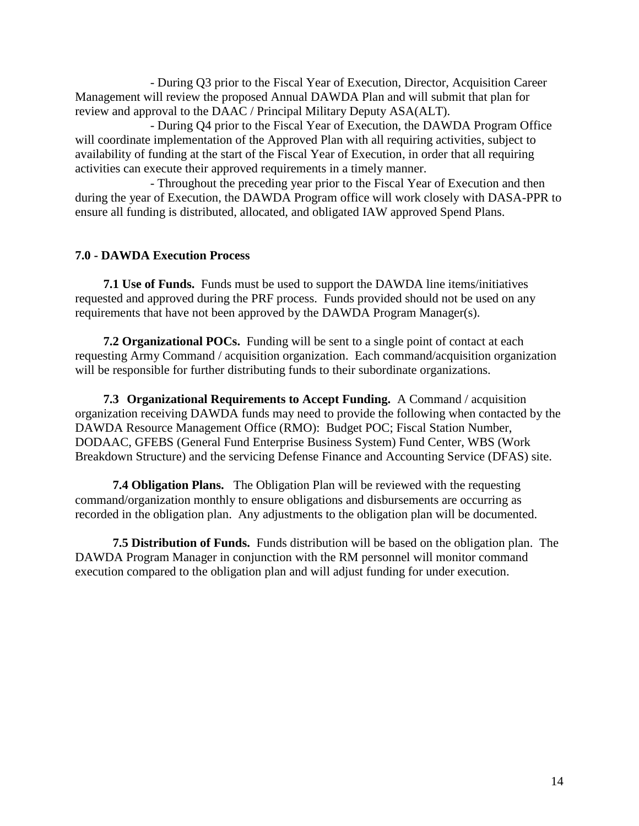- During Q3 prior to the Fiscal Year of Execution, Director, Acquisition Career Management will review the proposed Annual DAWDA Plan and will submit that plan for review and approval to the DAAC / Principal Military Deputy ASA(ALT).

- During Q4 prior to the Fiscal Year of Execution, the DAWDA Program Office will coordinate implementation of the Approved Plan with all requiring activities, subject to availability of funding at the start of the Fiscal Year of Execution, in order that all requiring activities can execute their approved requirements in a timely manner.

- Throughout the preceding year prior to the Fiscal Year of Execution and then during the year of Execution, the DAWDA Program office will work closely with DASA-PPR to ensure all funding is distributed, allocated, and obligated IAW approved Spend Plans.

## **7.0 - DAWDA Execution Process**

**7.1 Use of Funds.** Funds must be used to support the DAWDA line items/initiatives requested and approved during the PRF process. Funds provided should not be used on any requirements that have not been approved by the DAWDA Program Manager(s).

**7.2 Organizational POCs.** Funding will be sent to a single point of contact at each requesting Army Command / acquisition organization. Each command/acquisition organization will be responsible for further distributing funds to their subordinate organizations.

**7.3 Organizational Requirements to Accept Funding.** A Command / acquisition organization receiving DAWDA funds may need to provide the following when contacted by the DAWDA Resource Management Office (RMO): Budget POC; Fiscal Station Number, DODAAC, GFEBS (General Fund Enterprise Business System) Fund Center, WBS (Work Breakdown Structure) and the servicing Defense Finance and Accounting Service (DFAS) site.

**7.4 Obligation Plans.** The Obligation Plan will be reviewed with the requesting command/organization monthly to ensure obligations and disbursements are occurring as recorded in the obligation plan. Any adjustments to the obligation plan will be documented.

**7.5 Distribution of Funds.** Funds distribution will be based on the obligation plan. The DAWDA Program Manager in conjunction with the RM personnel will monitor command execution compared to the obligation plan and will adjust funding for under execution.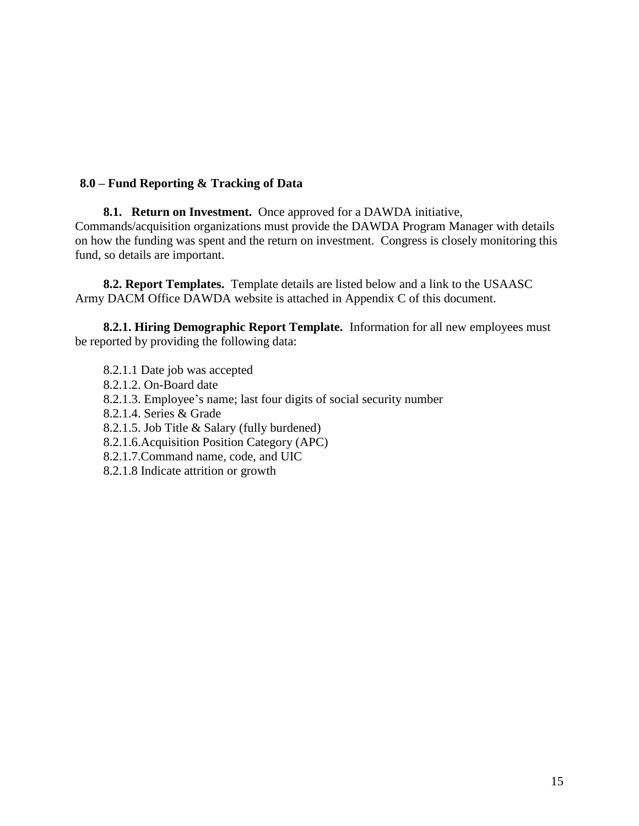## **8.0 – Fund Reporting & Tracking of Data**

**8.1. Return on Investment.** Once approved for a DAWDA initiative, Commands/acquisition organizations must provide the DAWDA Program Manager with details on how the funding was spent and the return on investment. Congress is closely monitoring this fund, so details are important.

**8.2. Report Templates.** Template details are listed below and a link to the USAASC Army DACM Office DAWDA website is attached in Appendix C of this document.

**8.2.1. Hiring Demographic Report Template.** Information for all new employees must be reported by providing the following data:

8.2.1.1 Date job was accepted 8.2.1.2. On-Board date 8.2.1.3. Employee's name; last four digits of social security number 8.2.1.4. Series & Grade 8.2.1.5. Job Title & Salary (fully burdened) 8.2.1.6.Acquisition Position Category (APC) 8.2.1.7.Command name, code, and UIC 8.2.1.8 Indicate attrition or growth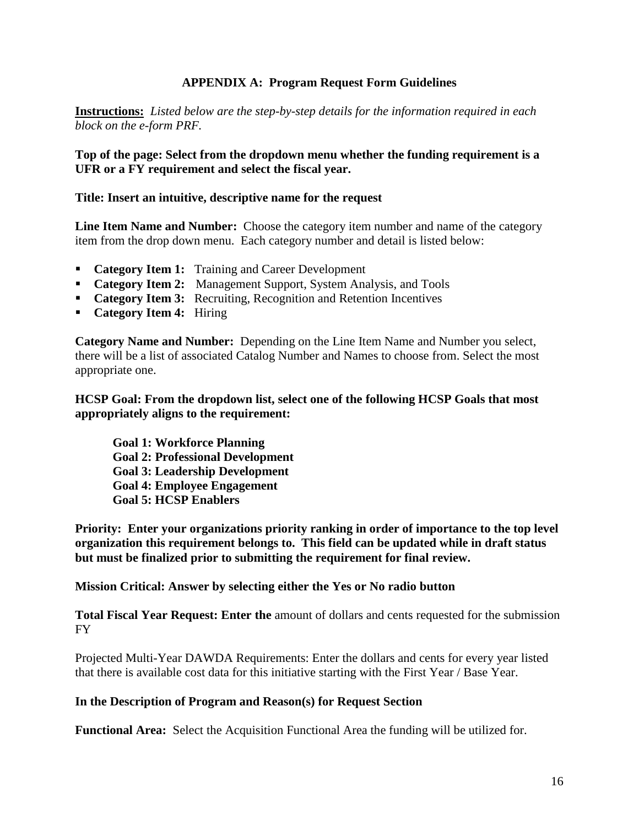## **APPENDIX A: Program Request Form Guidelines**

**Instructions:** *Listed below are the step-by-step details for the information required in each block on the e-form PRF.*

**Top of the page: Select from the dropdown menu whether the funding requirement is a UFR or a FY requirement and select the fiscal year.**

#### **Title: Insert an intuitive, descriptive name for the request**

**Line Item Name and Number:** Choose the category item number and name of the category item from the drop down menu. Each category number and detail is listed below:

- **Category Item 1:** Training and Career Development
- **Category Item 2:** Management Support, System Analysis, and Tools
- **Category Item 3:** Recruiting, Recognition and Retention Incentives
- **Category Item 4:** Hiring

**Category Name and Number:** Depending on the Line Item Name and Number you select, there will be a list of associated Catalog Number and Names to choose from. Select the most appropriate one.

#### **HCSP Goal: From the dropdown list, select one of the following HCSP Goals that most appropriately aligns to the requirement:**

**Goal 1: Workforce Planning Goal 2: Professional Development Goal 3: Leadership Development Goal 4: Employee Engagement Goal 5: HCSP Enablers**

**Priority: Enter your organizations priority ranking in order of importance to the top level organization this requirement belongs to. This field can be updated while in draft status but must be finalized prior to submitting the requirement for final review.**

**Mission Critical: Answer by selecting either the Yes or No radio button**

**Total Fiscal Year Request: Enter the** amount of dollars and cents requested for the submission FY

Projected Multi-Year DAWDA Requirements: Enter the dollars and cents for every year listed that there is available cost data for this initiative starting with the First Year / Base Year.

#### **In the Description of Program and Reason(s) for Request Section**

**Functional Area:** Select the Acquisition Functional Area the funding will be utilized for.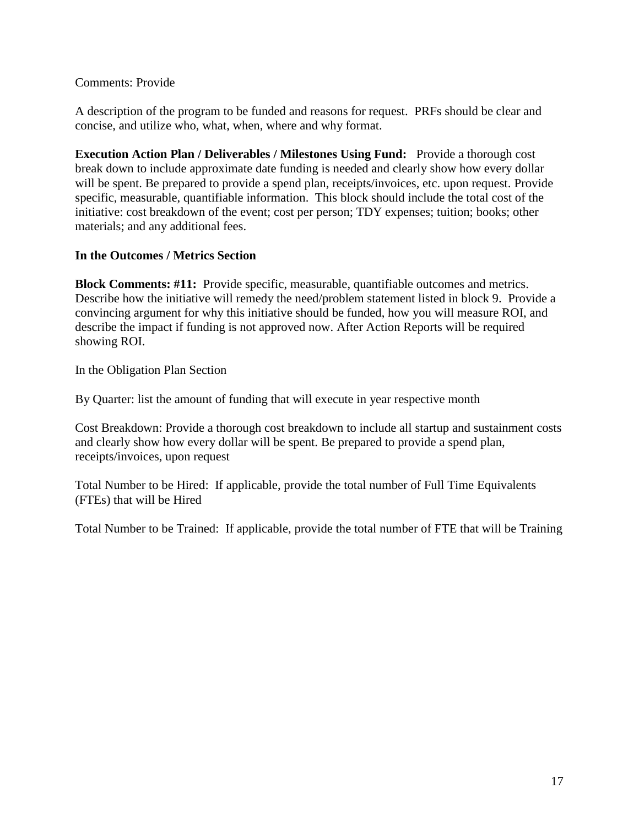### Comments: Provide

A description of the program to be funded and reasons for request. PRFs should be clear and concise, and utilize who, what, when, where and why format.

**Execution Action Plan / Deliverables / Milestones Using Fund:** Provide a thorough cost break down to include approximate date funding is needed and clearly show how every dollar will be spent. Be prepared to provide a spend plan, receipts/invoices, etc. upon request. Provide specific, measurable, quantifiable information. This block should include the total cost of the initiative: cost breakdown of the event; cost per person; TDY expenses; tuition; books; other materials; and any additional fees.

#### **In the Outcomes / Metrics Section**

**Block Comments: #11:** Provide specific, measurable, quantifiable outcomes and metrics. Describe how the initiative will remedy the need/problem statement listed in block 9. Provide a convincing argument for why this initiative should be funded, how you will measure ROI, and describe the impact if funding is not approved now. After Action Reports will be required showing ROI.

In the Obligation Plan Section

By Quarter: list the amount of funding that will execute in year respective month

Cost Breakdown: Provide a thorough cost breakdown to include all startup and sustainment costs and clearly show how every dollar will be spent. Be prepared to provide a spend plan, receipts/invoices, upon request

Total Number to be Hired: If applicable, provide the total number of Full Time Equivalents (FTEs) that will be Hired

Total Number to be Trained: If applicable, provide the total number of FTE that will be Training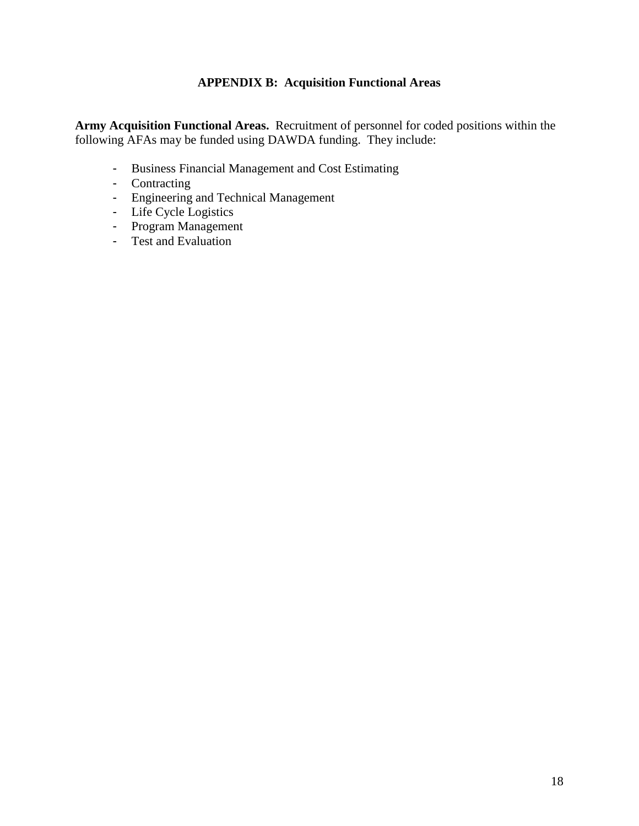## **APPENDIX B: Acquisition Functional Areas**

**Army Acquisition Functional Areas.** Recruitment of personnel for coded positions within the following AFAs may be funded using DAWDA funding. They include:

- Business Financial Management and Cost Estimating
- Contracting
- Engineering and Technical Management
- Life Cycle Logistics
- Program Management
- Test and Evaluation